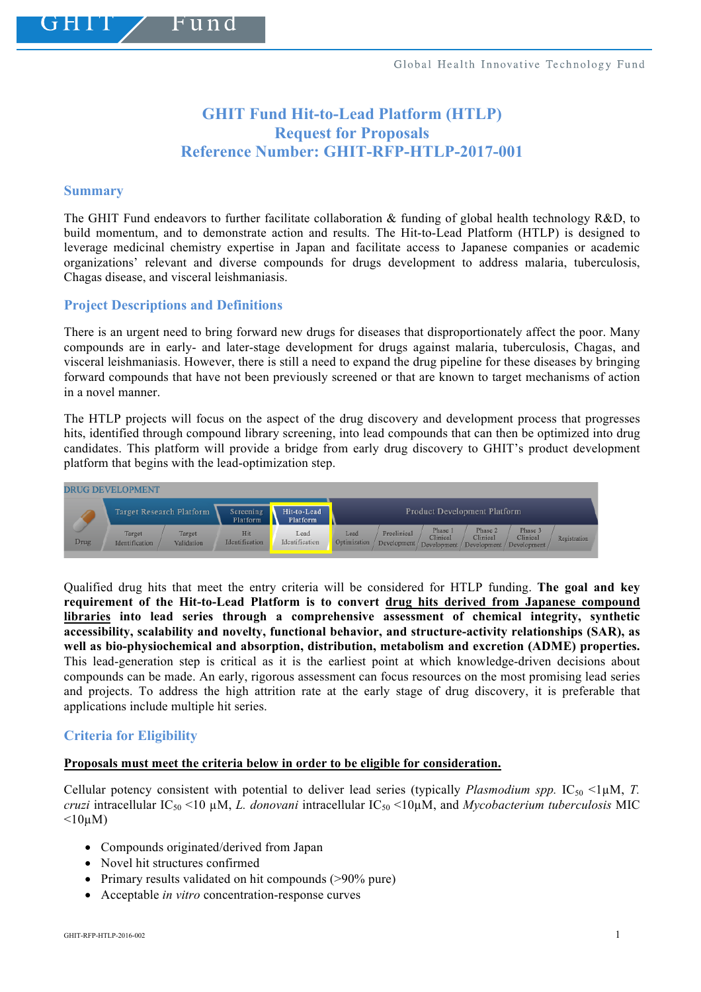# **GHIT Fund Hit-to-Lead Platform (HTLP) Request for Proposals Reference Number: GHIT-RFP-HTLP-2017-001**

#### **Summary**

The GHIT Fund endeavors to further facilitate collaboration & funding of global health technology R&D, to build momentum, and to demonstrate action and results. The Hit-to-Lead Platform (HTLP) is designed to leverage medicinal chemistry expertise in Japan and facilitate access to Japanese companies or academic organizations' relevant and diverse compounds for drugs development to address malaria, tuberculosis, Chagas disease, and visceral leishmaniasis.

# **Project Descriptions and Definitions**

 $1111$ 

There is an urgent need to bring forward new drugs for diseases that disproportionately affect the poor. Many compounds are in early- and later-stage development for drugs against malaria, tuberculosis, Chagas, and visceral leishmaniasis. However, there is still a need to expand the drug pipeline for these diseases by bringing forward compounds that have not been previously screened or that are known to target mechanisms of action in a novel manner.

The HTLP projects will focus on the aspect of the drug discovery and development process that progresses hits, identified through compound library screening, into lead compounds that can then be optimized into drug candidates. This platform will provide a bridge from early drug discovery to GHIT's product development platform that begins with the lead-optimization step.



Qualified drug hits that meet the entry criteria will be considered for HTLP funding. **The goal and key requirement of the Hit-to-Lead Platform is to convert drug hits derived from Japanese compound libraries into lead series through a comprehensive assessment of chemical integrity, synthetic accessibility, scalability and novelty, functional behavior, and structure-activity relationships (SAR), as well as bio-physiochemical and absorption, distribution, metabolism and excretion (ADME) properties.** This lead-generation step is critical as it is the earliest point at which knowledge-driven decisions about compounds can be made. An early, rigorous assessment can focus resources on the most promising lead series and projects. To address the high attrition rate at the early stage of drug discovery, it is preferable that applications include multiple hit series.

# **Criteria for Eligibility**

#### **Proposals must meet the criteria below in order to be eligible for consideration.**

Cellular potency consistent with potential to deliver lead series (typically *Plasmodium spp.* IC<sub>50</sub> <1 $\mu$ M, *T. cruzi* intracellular  $IC_{50}$  <10  $\mu$ M, *L. donovani* intracellular  $IC_{50}$  <10 $\mu$ M, and *Mycobacterium tuberculosis* MIC  $\leq 10 \mu M$ )

- Compounds originated/derived from Japan
- Novel hit structures confirmed
- Primary results validated on hit compounds (>90% pure)
- Acceptable *in vitro* concentration-response curves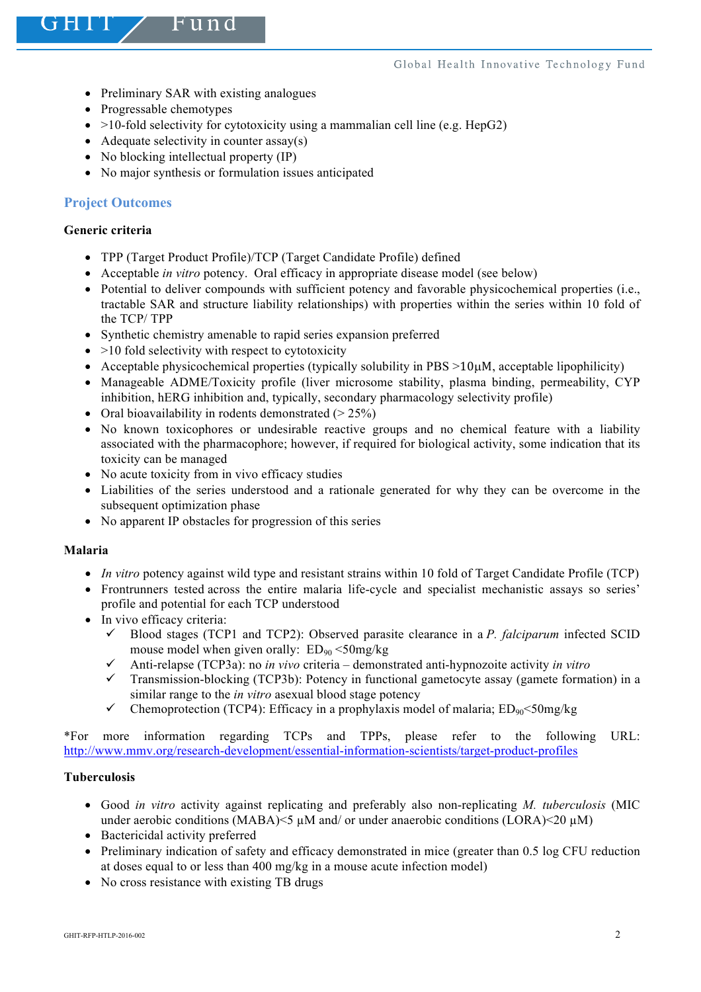- Preliminary SAR with existing analogues
- Progressable chemotypes
- $>10$ -fold selectivity for cytotoxicity using a mammalian cell line (e.g. HepG2)
- Adequate selectivity in counter  $assay(s)$
- No blocking intellectual property (IP)
- No major synthesis or formulation issues anticipated

# **Project Outcomes**

# **Generic criteria**

- TPP (Target Product Profile)/TCP (Target Candidate Profile) defined
- Acceptable *in vitro* potency. Oral efficacy in appropriate disease model (see below)
- Potential to deliver compounds with sufficient potency and favorable physicochemical properties (i.e., tractable SAR and structure liability relationships) with properties within the series within 10 fold of the TCP/ TPP
- Synthetic chemistry amenable to rapid series expansion preferred
- $\bullet$  >10 fold selectivity with respect to cytotoxicity
- Acceptable physicochemical properties (typically solubility in  $PBS >10\mu$ M, acceptable lipophilicity)
- Manageable ADME/Toxicity profile (liver microsome stability, plasma binding, permeability, CYP inhibition, hERG inhibition and, typically, secondary pharmacology selectivity profile)
- Oral bioavailability in rodents demonstrated  $(> 25\%)$
- No known toxicophores or undesirable reactive groups and no chemical feature with a liability associated with the pharmacophore; however, if required for biological activity, some indication that its toxicity can be managed
- No acute toxicity from in vivo efficacy studies
- Liabilities of the series understood and a rationale generated for why they can be overcome in the subsequent optimization phase
- No apparent IP obstacles for progression of this series

# **Malaria**

- *In vitro* potency against wild type and resistant strains within 10 fold of Target Candidate Profile (TCP)
- Frontrunners tested across the entire malaria life-cycle and specialist mechanistic assays so series' profile and potential for each TCP understood
- In vivo efficacy criteria:
	- $\checkmark$  Blood stages (TCP1 and TCP2): Observed parasite clearance in a *P. falciparum* infected SCID mouse model when given orally:  $ED_{90} < 50$ mg/kg
	- $\checkmark$  Anti-relapse (TCP3a): no *in vivo* criteria demonstrated anti-hypnozoite activity *in vitro*
	- $\checkmark$  Transmission-blocking (TCP3b): Potency in functional gametocyte assay (gamete formation) in a similar range to the *in vitro* asexual blood stage potency
	- $\checkmark$  Chemoprotection (TCP4): Efficacy in a prophylaxis model of malaria; ED<sub>90</sub><50mg/kg

\*For more information regarding TCPs and TPPs, please refer to the following URL: http://www.mmv.org/research-development/essential-information-scientists/target-product-profiles

# **Tuberculosis**

- Good *in vitro* activity against replicating and preferably also non-replicating *M. tuberculosis* (MIC under aerobic conditions (MABA) $\leq$ 5  $\mu$ M and/ or under anaerobic conditions (LORA) $\leq$ 20  $\mu$ M)
- Bactericidal activity preferred
- Preliminary indication of safety and efficacy demonstrated in mice (greater than 0.5 log CFU reduction at doses equal to or less than 400 mg/kg in a mouse acute infection model)
- No cross resistance with existing TB drugs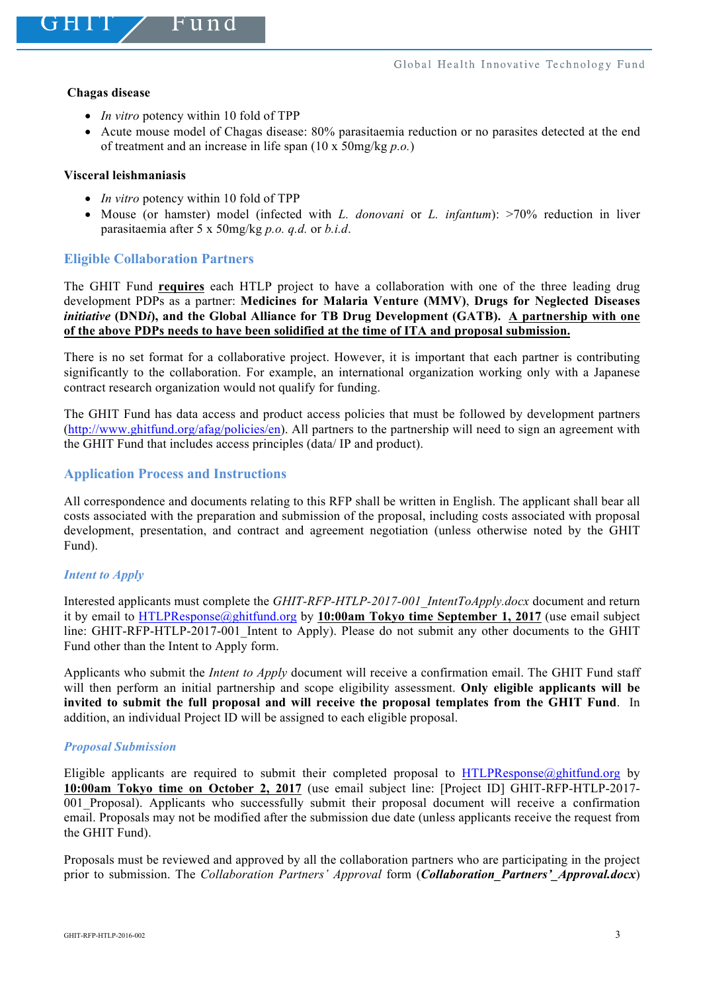#### **Chagas disease**

- *In vitro* potency within 10 fold of TPP
- Acute mouse model of Chagas disease: 80% parasitaemia reduction or no parasites detected at the end of treatment and an increase in life span (10 x 50mg/kg *p.o.*)

# **Visceral leishmaniasis**

- *In vitro* potency within 10 fold of TPP
- Mouse (or hamster) model (infected with *L. donovani* or *L. infantum*): >70% reduction in liver parasitaemia after 5 x 50mg/kg *p.o. q.d.* or *b.i.d*.

# **Eligible Collaboration Partners**

The GHIT Fund **requires** each HTLP project to have a collaboration with one of the three leading drug development PDPs as a partner: **Medicines for Malaria Venture (MMV)**, **Drugs for Neglected Diseases**  *initiative* **(DND***i***), and the Global Alliance for TB Drug Development (GATB). A partnership with one of the above PDPs needs to have been solidified at the time of ITA and proposal submission.**

There is no set format for a collaborative project. However, it is important that each partner is contributing significantly to the collaboration. For example, an international organization working only with a Japanese contract research organization would not qualify for funding.

The GHIT Fund has data access and product access policies that must be followed by development partners (http://www.ghitfund.org/afag/policies/en). All partners to the partnership will need to sign an agreement with the GHIT Fund that includes access principles (data/ IP and product).

# **Application Process and Instructions**

All correspondence and documents relating to this RFP shall be written in English. The applicant shall bear all costs associated with the preparation and submission of the proposal, including costs associated with proposal development, presentation, and contract and agreement negotiation (unless otherwise noted by the GHIT Fund).

# *Intent to Apply*

Interested applicants must complete the *GHIT-RFP-HTLP-2017-001\_IntentToApply.docx* document and return it by email to HTLPResponse@ghitfund.org by **10:00am Tokyo time September 1, 2017** (use email subject line: GHIT-RFP-HTLP-2017-001\_Intent to Apply). Please do not submit any other documents to the GHIT Fund other than the Intent to Apply form.

Applicants who submit the *Intent to Apply* document will receive a confirmation email. The GHIT Fund staff will then perform an initial partnership and scope eligibility assessment. **Only eligible applicants will be invited to submit the full proposal and will receive the proposal templates from the GHIT Fund**. In addition, an individual Project ID will be assigned to each eligible proposal.

# *Proposal Submission*

Eligible applicants are required to submit their completed proposal to HTLPResponse@phitfund.org by **10:00am Tokyo time on October 2, 2017** (use email subject line: [Project ID] GHIT-RFP-HTLP-2017- 001 Proposal). Applicants who successfully submit their proposal document will receive a confirmation email. Proposals may not be modified after the submission due date (unless applicants receive the request from the GHIT Fund).

Proposals must be reviewed and approved by all the collaboration partners who are participating in the project prior to submission. The *Collaboration Partners' Approval* form (*Collaboration\_Partners'\_Approval.docx*)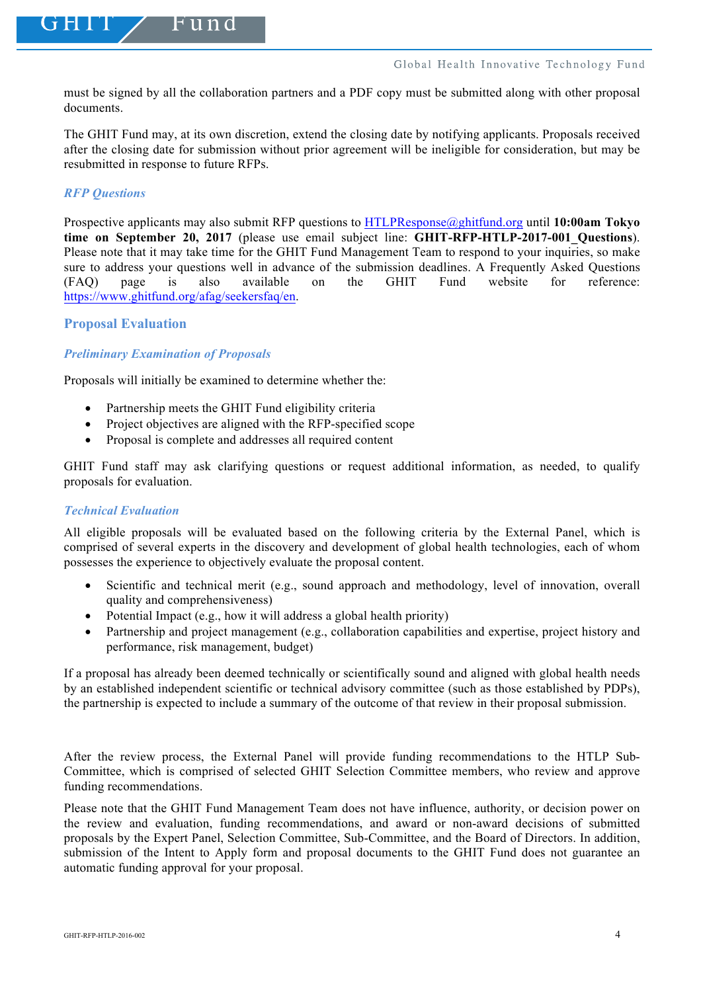must be signed by all the collaboration partners and a PDF copy must be submitted along with other proposal documents.

The GHIT Fund may, at its own discretion, extend the closing date by notifying applicants. Proposals received after the closing date for submission without prior agreement will be ineligible for consideration, but may be resubmitted in response to future RFPs.

# *RFP Questions*

Prospective applicants may also submit RFP questions to HTLPResponse@ghitfund.org until **10:00am Tokyo time on September 20, 2017** (please use email subject line: **GHIT-RFP-HTLP-2017-001\_Questions**). Please note that it may take time for the GHIT Fund Management Team to respond to your inquiries, so make sure to address your questions well in advance of the submission deadlines. A Frequently Asked Questions (FAQ) page is also available on the GHIT Fund website for reference: https://www.ghitfund.org/afag/seekersfaq/en.

# **Proposal Evaluation**

# *Preliminary Examination of Proposals*

Proposals will initially be examined to determine whether the:

- Partnership meets the GHIT Fund eligibility criteria
- Project objectives are aligned with the RFP-specified scope
- Proposal is complete and addresses all required content

GHIT Fund staff may ask clarifying questions or request additional information, as needed, to qualify proposals for evaluation.

# *Technical Evaluation*

All eligible proposals will be evaluated based on the following criteria by the External Panel, which is comprised of several experts in the discovery and development of global health technologies, each of whom possesses the experience to objectively evaluate the proposal content.

- Scientific and technical merit (e.g., sound approach and methodology, level of innovation, overall quality and comprehensiveness)
- Potential Impact (e.g., how it will address a global health priority)
- Partnership and project management (e.g., collaboration capabilities and expertise, project history and performance, risk management, budget)

If a proposal has already been deemed technically or scientifically sound and aligned with global health needs by an established independent scientific or technical advisory committee (such as those established by PDPs), the partnership is expected to include a summary of the outcome of that review in their proposal submission.

After the review process, the External Panel will provide funding recommendations to the HTLP Sub-Committee, which is comprised of selected GHIT Selection Committee members, who review and approve funding recommendations.

Please note that the GHIT Fund Management Team does not have influence, authority, or decision power on the review and evaluation, funding recommendations, and award or non-award decisions of submitted proposals by the Expert Panel, Selection Committee, Sub-Committee, and the Board of Directors. In addition, submission of the Intent to Apply form and proposal documents to the GHIT Fund does not guarantee an automatic funding approval for your proposal.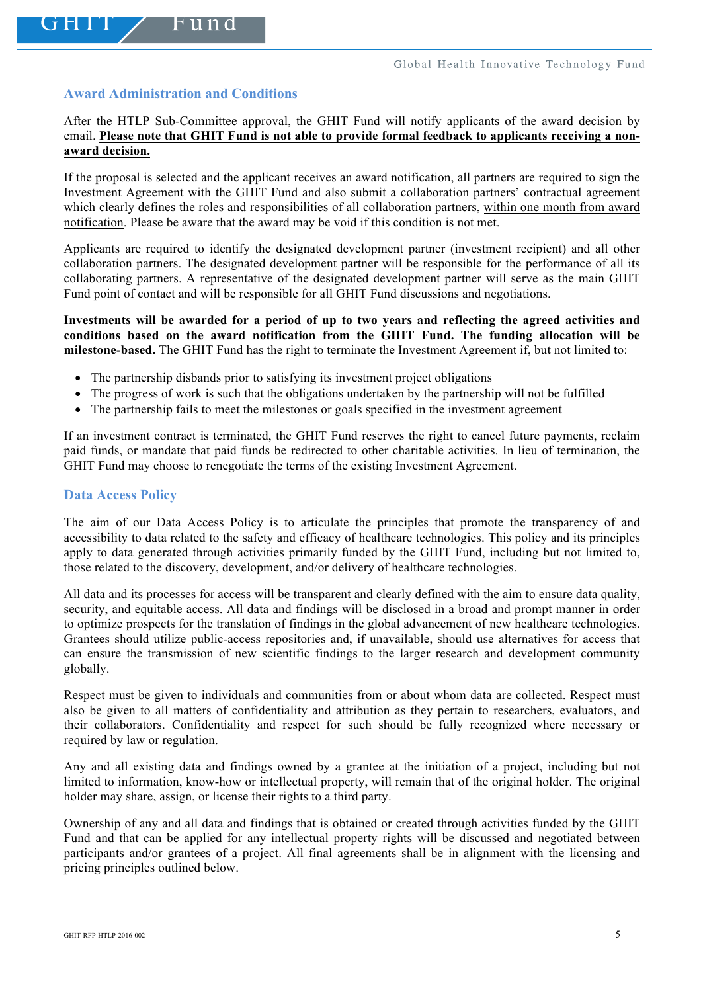# **Award Administration and Conditions**

After the HTLP Sub-Committee approval, the GHIT Fund will notify applicants of the award decision by email. **Please note that GHIT Fund is not able to provide formal feedback to applicants receiving a nonaward decision.**

If the proposal is selected and the applicant receives an award notification, all partners are required to sign the Investment Agreement with the GHIT Fund and also submit a collaboration partners' contractual agreement which clearly defines the roles and responsibilities of all collaboration partners, within one month from award notification. Please be aware that the award may be void if this condition is not met.

Applicants are required to identify the designated development partner (investment recipient) and all other collaboration partners. The designated development partner will be responsible for the performance of all its collaborating partners. A representative of the designated development partner will serve as the main GHIT Fund point of contact and will be responsible for all GHIT Fund discussions and negotiations.

**Investments will be awarded for a period of up to two years and reflecting the agreed activities and conditions based on the award notification from the GHIT Fund. The funding allocation will be milestone-based.** The GHIT Fund has the right to terminate the Investment Agreement if, but not limited to:

- The partnership disbands prior to satisfying its investment project obligations
- The progress of work is such that the obligations undertaken by the partnership will not be fulfilled
- The partnership fails to meet the milestones or goals specified in the investment agreement

If an investment contract is terminated, the GHIT Fund reserves the right to cancel future payments, reclaim paid funds, or mandate that paid funds be redirected to other charitable activities. In lieu of termination, the GHIT Fund may choose to renegotiate the terms of the existing Investment Agreement.

#### **Data Access Policy**

The aim of our Data Access Policy is to articulate the principles that promote the transparency of and accessibility to data related to the safety and efficacy of healthcare technologies. This policy and its principles apply to data generated through activities primarily funded by the GHIT Fund, including but not limited to, those related to the discovery, development, and/or delivery of healthcare technologies.

All data and its processes for access will be transparent and clearly defined with the aim to ensure data quality, security, and equitable access. All data and findings will be disclosed in a broad and prompt manner in order to optimize prospects for the translation of findings in the global advancement of new healthcare technologies. Grantees should utilize public-access repositories and, if unavailable, should use alternatives for access that can ensure the transmission of new scientific findings to the larger research and development community globally.

Respect must be given to individuals and communities from or about whom data are collected. Respect must also be given to all matters of confidentiality and attribution as they pertain to researchers, evaluators, and their collaborators. Confidentiality and respect for such should be fully recognized where necessary or required by law or regulation.

Any and all existing data and findings owned by a grantee at the initiation of a project, including but not limited to information, know-how or intellectual property, will remain that of the original holder. The original holder may share, assign, or license their rights to a third party.

Ownership of any and all data and findings that is obtained or created through activities funded by the GHIT Fund and that can be applied for any intellectual property rights will be discussed and negotiated between participants and/or grantees of a project. All final agreements shall be in alignment with the licensing and pricing principles outlined below.